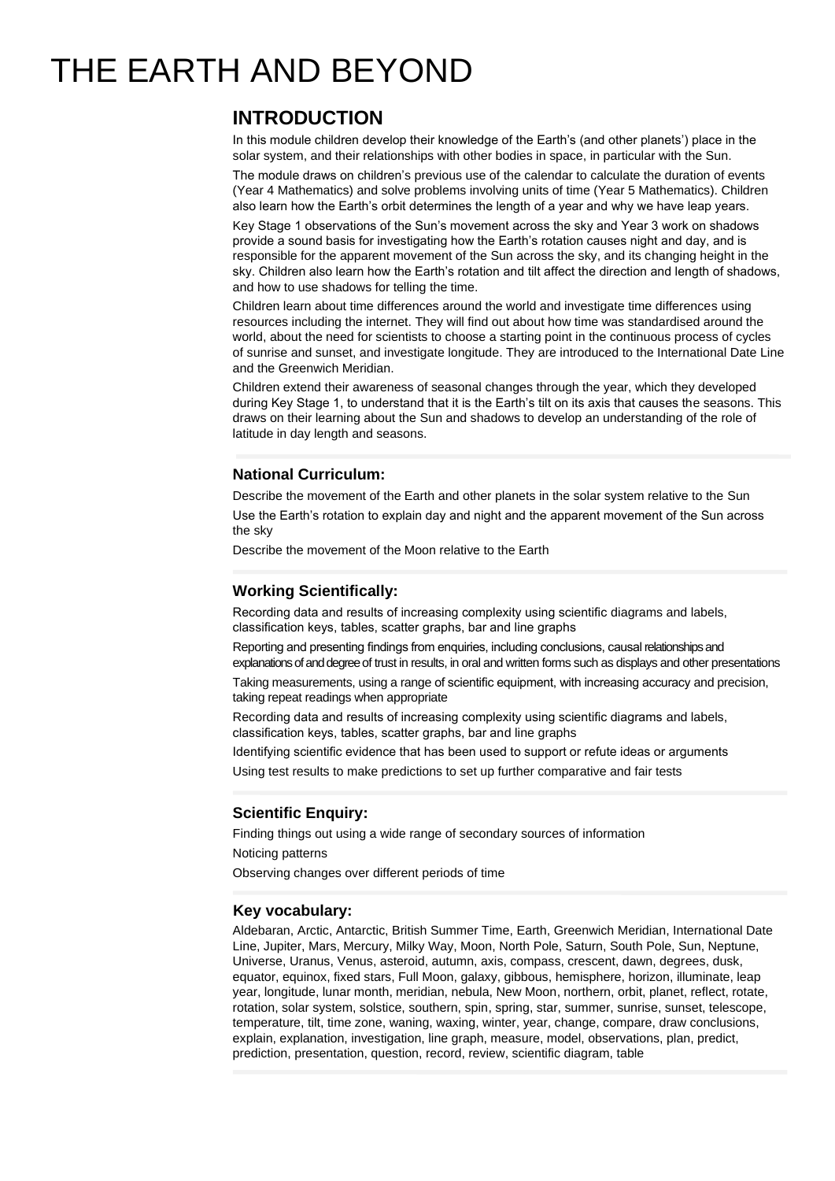# THE EARTH AND BEYOND

# **INTRODUCTION**

In this module children develop their knowledge of the Earth's (and other planets') place in the solar system, and their relationships with other bodies in space, in particular with the Sun.

The module draws on children's previous use of the calendar to calculate the duration of events (Year 4 Mathematics) and solve problems involving units of time (Year 5 Mathematics). Children also learn how the Earth's orbit determines the length of a year and why we have leap years.

Key Stage 1 observations of the Sun's movement across the sky and Year 3 work on shadows provide a sound basis for investigating how the Earth's rotation causes night and day, and is responsible for the apparent movement of the Sun across the sky, and its changing height in the sky. Children also learn how the Earth's rotation and tilt affect the direction and length of shadows, and how to use shadows for telling the time.

Children learn about time differences around the world and investigate time differences using resources including the internet. They will find out about how time was standardised around the world, about the need for scientists to choose a starting point in the continuous process of cycles of sunrise and sunset, and investigate longitude. They are introduced to the International Date Line and the Greenwich Meridian.

Children extend their awareness of seasonal changes through the year, which they developed during Key Stage 1, to understand that it is the Earth's tilt on its axis that causes the seasons. This draws on their learning about the Sun and shadows to develop an understanding of the role of latitude in day length and seasons.

## **National Curriculum:**

Describe the movement of the Earth and other planets in the solar system relative to the Sun Use the Earth's rotation to explain day and night and the apparent movement of the Sun across the sky

Describe the movement of the Moon relative to the Earth

# **Working Scientifically:**

Recording data and results of increasing complexity using scientific diagrams and labels, classification keys, tables, scatter graphs, bar and line graphs

Reporting and presenting findings from enquiries, including conclusions, causal relationships and explanations of and degree of trust in results, in oral and written forms such as displays and other presentations

Taking measurements, using a range of scientific equipment, with increasing accuracy and precision, taking repeat readings when appropriate

Recording data and results of increasing complexity using scientific diagrams and labels, classification keys, tables, scatter graphs, bar and line graphs

Identifying scientific evidence that has been used to support or refute ideas or arguments

Using test results to make predictions to set up further comparative and fair tests

### **Scientific Enquiry:**

Finding things out using a wide range of secondary sources of information

Noticing patterns

Observing changes over different periods of time

#### **Key vocabulary:**

Aldebaran, Arctic, Antarctic, British Summer Time, Earth, Greenwich Meridian, International Date Line, Jupiter, Mars, Mercury, Milky Way, Moon, North Pole, Saturn, South Pole, Sun, Neptune, Universe, Uranus, Venus, asteroid, autumn, axis, compass, crescent, dawn, degrees, dusk, equator, equinox, fixed stars, Full Moon, galaxy, gibbous, hemisphere, horizon, illuminate, leap year, longitude, lunar month, meridian, nebula, New Moon, northern, orbit, planet, reflect, rotate, rotation, solar system, solstice, southern, spin, spring, star, summer, sunrise, sunset, telescope, temperature, tilt, time zone, waning, waxing, winter, year, change, compare, draw conclusions, explain, explanation, investigation, line graph, measure, model, observations, plan, predict, prediction, presentation, question, record, review, scientific diagram, table